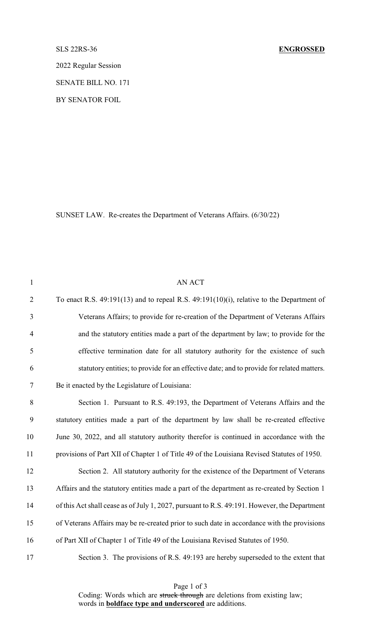2022 Regular Session

SENATE BILL NO. 171

BY SENATOR FOIL

SUNSET LAW. Re-creates the Department of Veterans Affairs. (6/30/22)

| $\mathbf{1}$     | AN ACT                                                                                        |
|------------------|-----------------------------------------------------------------------------------------------|
| $\overline{2}$   | To enact R.S. $49:191(13)$ and to repeal R.S. $49:191(10)(i)$ , relative to the Department of |
| 3                | Veterans Affairs; to provide for re-creation of the Department of Veterans Affairs            |
| $\overline{4}$   | and the statutory entities made a part of the department by law; to provide for the           |
| 5                | effective termination date for all statutory authority for the existence of such              |
| 6                | statutory entities; to provide for an effective date; and to provide for related matters.     |
| $\tau$           | Be it enacted by the Legislature of Louisiana:                                                |
| 8                | Section 1. Pursuant to R.S. 49:193, the Department of Veterans Affairs and the                |
| $\boldsymbol{9}$ | statutory entities made a part of the department by law shall be re-created effective         |
| 10               | June 30, 2022, and all statutory authority therefor is continued in accordance with the       |
| 11               | provisions of Part XII of Chapter 1 of Title 49 of the Louisiana Revised Statutes of 1950.    |
| 12               | Section 2. All statutory authority for the existence of the Department of Veterans            |
| 13               | Affairs and the statutory entities made a part of the department as re-created by Section 1   |
| 14               | of this Act shall cease as of July 1, 2027, pursuant to R.S. 49:191. However, the Department  |
| 15               | of Veterans Affairs may be re-created prior to such date in accordance with the provisions    |
| 16               | of Part XII of Chapter 1 of Title 49 of the Louisiana Revised Statutes of 1950.               |
| 17               | Section 3. The provisions of R.S. 49:193 are hereby superseded to the extent that             |

Page 1 of 3 Coding: Words which are struck through are deletions from existing law; words in **boldface type and underscored** are additions.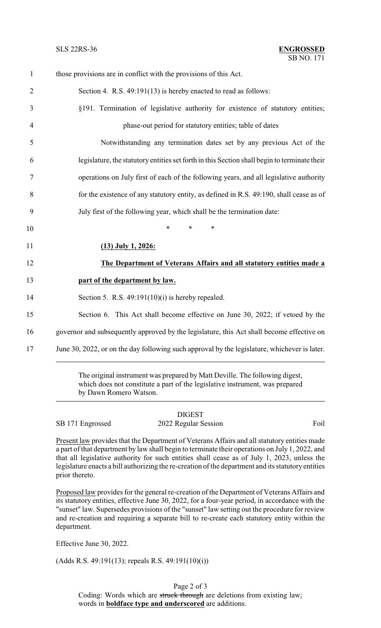| $\mathbf{1}$   | those provisions are in conflict with the provisions of this Act.                            |
|----------------|----------------------------------------------------------------------------------------------|
| $\overline{2}$ | Section 4. R.S. 49:191(13) is hereby enacted to read as follows:                             |
| 3              | §191. Termination of legislative authority for existence of statutory entities;              |
| $\overline{4}$ | phase-out period for statutory entities; table of dates                                      |
| 5              | Notwithstanding any termination dates set by any previous Act of the                         |
| 6              | legislature, the statutory entities set forth in this Section shall begin to terminate their |
| $\tau$         | operations on July first of each of the following years, and all legislative authority       |
| 8              | for the existence of any statutory entity, as defined in R.S. 49:190, shall cease as of      |
| 9              | July first of the following year, which shall be the termination date:                       |
| 10             | *<br>$\ast$<br>∗                                                                             |
| 11             | $(13)$ July 1, 2026:                                                                         |
| 12             | The Department of Veterans Affairs and all statutory entities made a                         |
| 13             | part of the department by law.                                                               |
| 14             | Section 5. R.S. $49:191(10)(i)$ is hereby repealed.                                          |
| 15             | Section 6. This Act shall become effective on June 30, 2022; if vetoed by the                |
|                | governor and subsequently approved by the legislature, this Act shall become effective on    |
| 17             | June 30, 2022, or on the day following such approval by the legislature, whichever is later. |
|                |                                                                                              |

The original instrument was prepared by Matt Deville. The following digest, which does not constitute a part of the legislative instrument, was prepared by Dawn Romero Watson.

DIGEST SB 171 Engrossed 2022 Regular Session Foil

Present law provides that the Department of Veterans Affairs and all statutory entities made a part of that department by law shall begin to terminate their operations on July 1, 2022, and that all legislative authority for such entities shall cease as of July 1, 2023, unless the legislature enacts a bill authorizing the re-creation of the department and its statutory entities prior thereto.

Proposed law provides for the general re-creation of the Department of Veterans Affairs and its statutory entities, effective June 30, 2022, for a four-year period, in accordance with the "sunset" law. Supersedes provisions of the "sunset" law setting out the procedure for review and re-creation and requiring a separate bill to re-create each statutory entity within the department.

Effective June 30, 2022.

(Adds R.S. 49:191(13); repeals R.S. 49:191(10)(i))

Page 2 of 3 Coding: Words which are struck through are deletions from existing law; words in **boldface type and underscored** are additions.